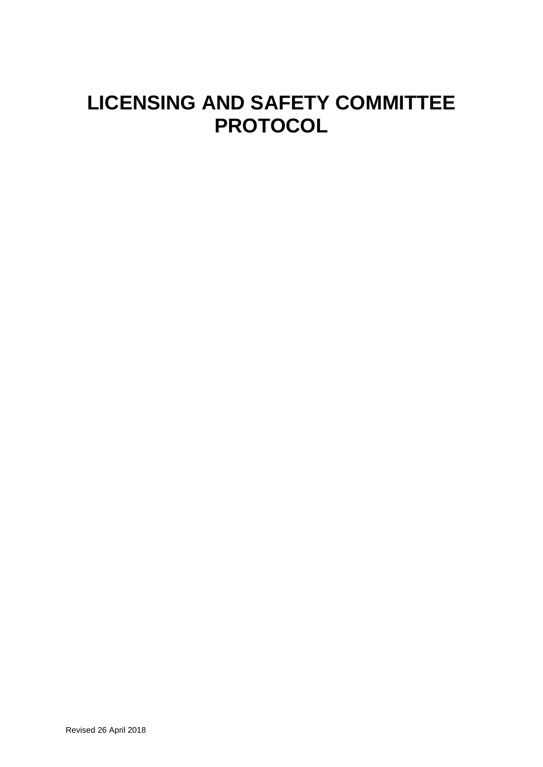# **LICENSING AND SAFETY COMMITTEE PROTOCOL**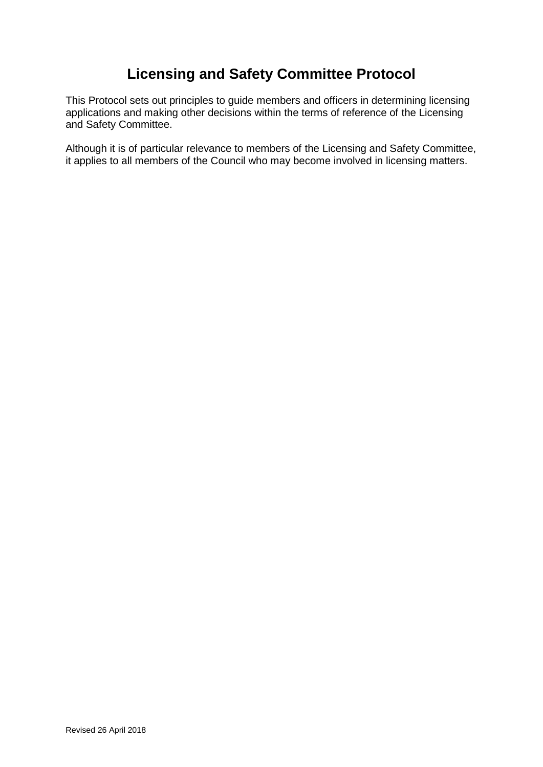## **Licensing and Safety Committee Protocol**

This Protocol sets out principles to guide members and officers in determining licensing applications and making other decisions within the terms of reference of the Licensing and Safety Committee.

Although it is of particular relevance to members of the Licensing and Safety Committee, it applies to all members of the Council who may become involved in licensing matters.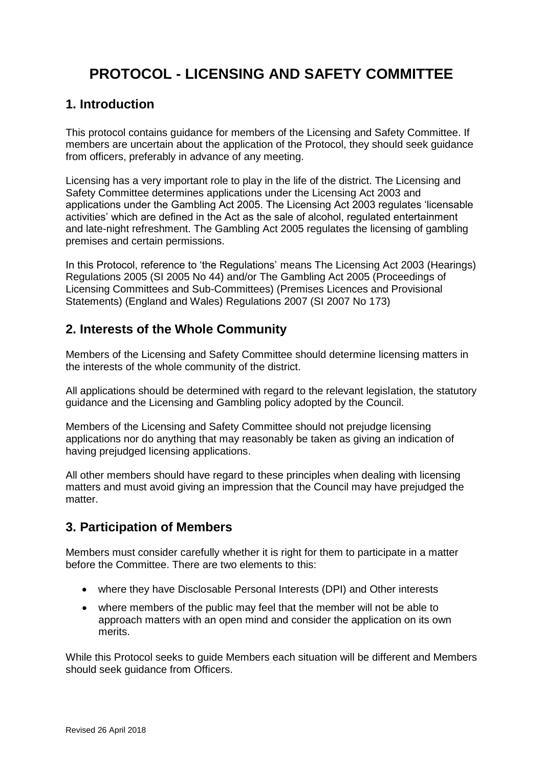## **PROTOCOL - LICENSING AND SAFETY COMMITTEE**

## **1. Introduction**

This protocol contains guidance for members of the Licensing and Safety Committee. If members are uncertain about the application of the Protocol, they should seek guidance from officers, preferably in advance of any meeting.

Licensing has a very important role to play in the life of the district. The Licensing and Safety Committee determines applications under the Licensing Act 2003 and applications under the Gambling Act 2005. The Licensing Act 2003 regulates 'licensable activities' which are defined in the Act as the sale of alcohol, regulated entertainment and late-night refreshment. The Gambling Act 2005 regulates the licensing of gambling premises and certain permissions.

In this Protocol, reference to 'the Regulations' means The Licensing Act 2003 (Hearings) Regulations 2005 (SI 2005 No 44) and/or The Gambling Act 2005 (Proceedings of Licensing Committees and Sub-Committees) (Premises Licences and Provisional Statements) (England and Wales) Regulations 2007 (SI 2007 No 173)

## **2. Interests of the Whole Community**

Members of the Licensing and Safety Committee should determine licensing matters in the interests of the whole community of the district.

All applications should be determined with regard to the relevant legislation, the statutory guidance and the Licensing and Gambling policy adopted by the Council.

Members of the Licensing and Safety Committee should not prejudge licensing applications nor do anything that may reasonably be taken as giving an indication of having prejudged licensing applications.

All other members should have regard to these principles when dealing with licensing matters and must avoid giving an impression that the Council may have prejudged the matter.

## **3. Participation of Members**

Members must consider carefully whether it is right for them to participate in a matter before the Committee. There are two elements to this:

- where they have Disclosable Personal Interests (DPI) and Other interests
- where members of the public may feel that the member will not be able to approach matters with an open mind and consider the application on its own merits.

While this Protocol seeks to guide Members each situation will be different and Members should seek guidance from Officers.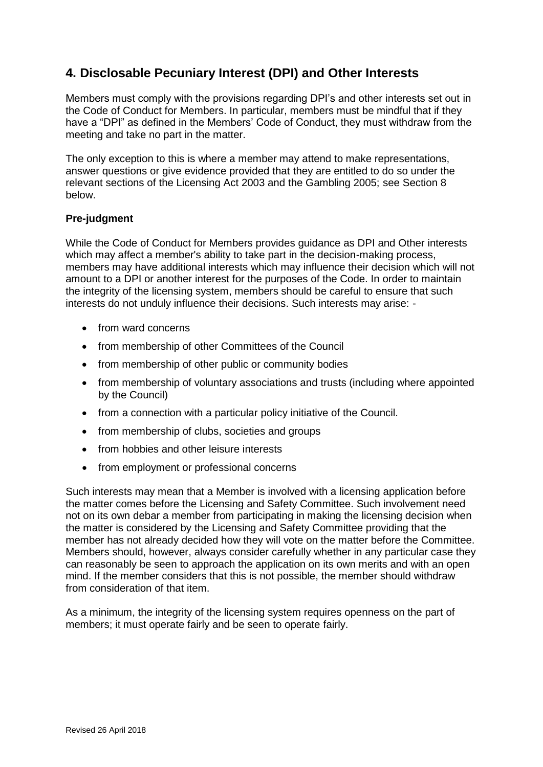## **4. Disclosable Pecuniary Interest (DPI) and Other Interests**

Members must comply with the provisions regarding DPI's and other interests set out in the Code of Conduct for Members. In particular, members must be mindful that if they have a "DPI" as defined in the Members' Code of Conduct, they must withdraw from the meeting and take no part in the matter.

The only exception to this is where a member may attend to make representations, answer questions or give evidence provided that they are entitled to do so under the relevant sections of the Licensing Act 2003 and the Gambling 2005; see Section 8 below.

#### **Pre-judgment**

While the Code of Conduct for Members provides guidance as DPI and Other interests which may affect a member's ability to take part in the decision-making process, members may have additional interests which may influence their decision which will not amount to a DPI or another interest for the purposes of the Code. In order to maintain the integrity of the licensing system, members should be careful to ensure that such interests do not unduly influence their decisions. Such interests may arise: -

- from ward concerns
- from membership of other Committees of the Council
- from membership of other public or community bodies
- from membership of voluntary associations and trusts (including where appointed by the Council)
- from a connection with a particular policy initiative of the Council.
- from membership of clubs, societies and groups
- from hobbies and other leisure interests
- from employment or professional concerns

Such interests may mean that a Member is involved with a licensing application before the matter comes before the Licensing and Safety Committee. Such involvement need not on its own debar a member from participating in making the licensing decision when the matter is considered by the Licensing and Safety Committee providing that the member has not already decided how they will vote on the matter before the Committee. Members should, however, always consider carefully whether in any particular case they can reasonably be seen to approach the application on its own merits and with an open mind. If the member considers that this is not possible, the member should withdraw from consideration of that item.

As a minimum, the integrity of the licensing system requires openness on the part of members; it must operate fairly and be seen to operate fairly.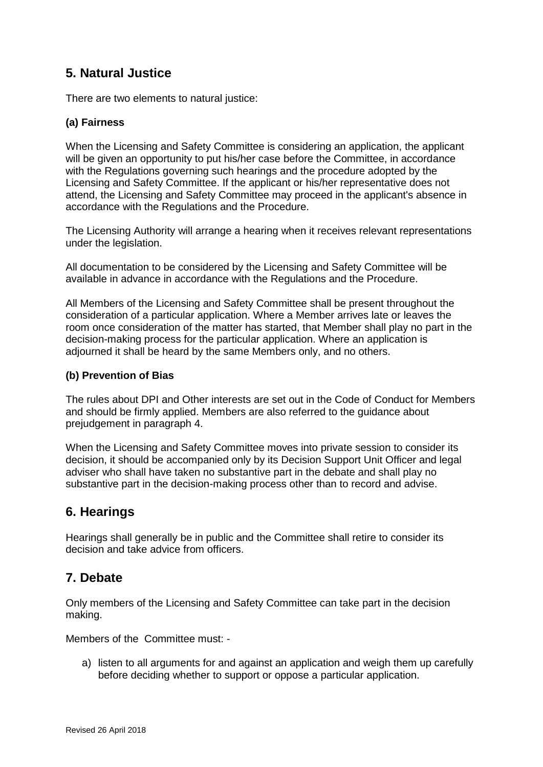## **5. Natural Justice**

There are two elements to natural justice:

#### **(a) Fairness**

When the Licensing and Safety Committee is considering an application, the applicant will be given an opportunity to put his/her case before the Committee, in accordance with the Regulations governing such hearings and the procedure adopted by the Licensing and Safety Committee. If the applicant or his/her representative does not attend, the Licensing and Safety Committee may proceed in the applicant's absence in accordance with the Regulations and the Procedure.

The Licensing Authority will arrange a hearing when it receives relevant representations under the legislation.

All documentation to be considered by the Licensing and Safety Committee will be available in advance in accordance with the Regulations and the Procedure.

All Members of the Licensing and Safety Committee shall be present throughout the consideration of a particular application. Where a Member arrives late or leaves the room once consideration of the matter has started, that Member shall play no part in the decision-making process for the particular application. Where an application is adjourned it shall be heard by the same Members only, and no others.

#### **(b) Prevention of Bias**

The rules about DPI and Other interests are set out in the Code of Conduct for Members and should be firmly applied. Members are also referred to the guidance about prejudgement in paragraph 4.

When the Licensing and Safety Committee moves into private session to consider its decision, it should be accompanied only by its Decision Support Unit Officer and legal adviser who shall have taken no substantive part in the debate and shall play no substantive part in the decision-making process other than to record and advise.

## **6. Hearings**

Hearings shall generally be in public and the Committee shall retire to consider its decision and take advice from officers.

## **7. Debate**

Only members of the Licensing and Safety Committee can take part in the decision making.

Members of the Committee must: -

a) listen to all arguments for and against an application and weigh them up carefully before deciding whether to support or oppose a particular application.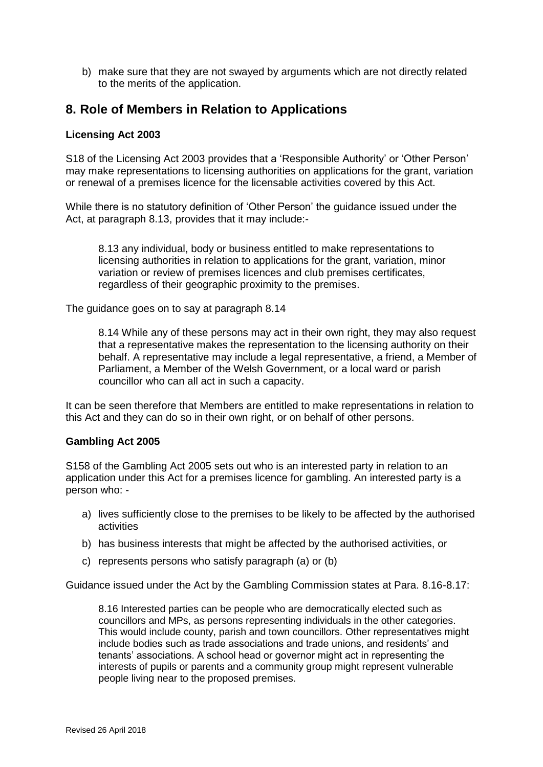b) make sure that they are not swayed by arguments which are not directly related to the merits of the application.

### **8. Role of Members in Relation to Applications**

#### **Licensing Act 2003**

S18 of the Licensing Act 2003 provides that a 'Responsible Authority' or 'Other Person' may make representations to licensing authorities on applications for the grant, variation or renewal of a premises licence for the licensable activities covered by this Act.

While there is no statutory definition of 'Other Person' the guidance issued under the Act, at paragraph 8.13, provides that it may include:-

8.13 any individual, body or business entitled to make representations to licensing authorities in relation to applications for the grant, variation, minor variation or review of premises licences and club premises certificates, regardless of their geographic proximity to the premises.

The guidance goes on to say at paragraph 8.14

8.14 While any of these persons may act in their own right, they may also request that a representative makes the representation to the licensing authority on their behalf. A representative may include a legal representative, a friend, a Member of Parliament, a Member of the Welsh Government, or a local ward or parish councillor who can all act in such a capacity.

It can be seen therefore that Members are entitled to make representations in relation to this Act and they can do so in their own right, or on behalf of other persons.

#### **Gambling Act 2005**

S158 of the Gambling Act 2005 sets out who is an interested party in relation to an application under this Act for a premises licence for gambling. An interested party is a person who: -

- a) lives sufficiently close to the premises to be likely to be affected by the authorised activities
- b) has business interests that might be affected by the authorised activities, or
- c) represents persons who satisfy paragraph (a) or (b)

Guidance issued under the Act by the Gambling Commission states at Para. 8.16-8.17:

8.16 Interested parties can be people who are democratically elected such as councillors and MPs, as persons representing individuals in the other categories. This would include county, parish and town councillors. Other representatives might include bodies such as trade associations and trade unions, and residents' and tenants' associations. A school head or governor might act in representing the interests of pupils or parents and a community group might represent vulnerable people living near to the proposed premises.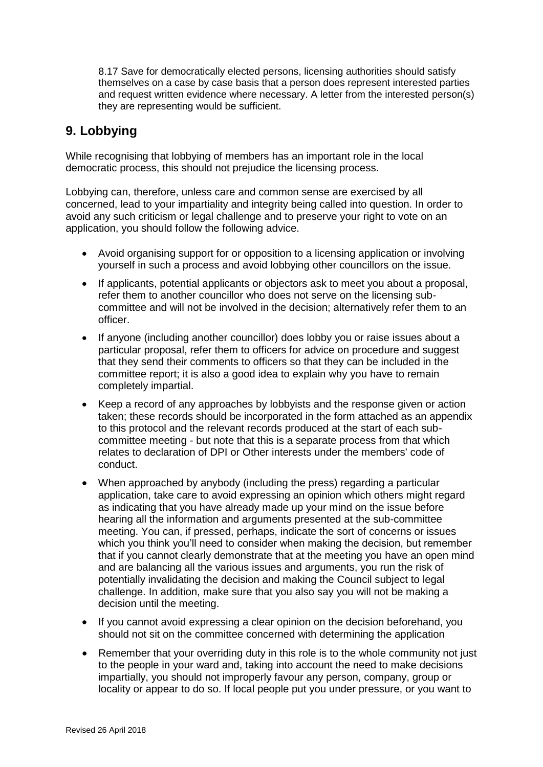8.17 Save for democratically elected persons, licensing authorities should satisfy themselves on a case by case basis that a person does represent interested parties and request written evidence where necessary. A letter from the interested person(s) they are representing would be sufficient.

## **9. Lobbying**

While recognising that lobbying of members has an important role in the local democratic process, this should not prejudice the licensing process.

Lobbying can, therefore, unless care and common sense are exercised by all concerned, lead to your impartiality and integrity being called into question. In order to avoid any such criticism or legal challenge and to preserve your right to vote on an application, you should follow the following advice.

- Avoid organising support for or opposition to a licensing application or involving yourself in such a process and avoid lobbying other councillors on the issue.
- If applicants, potential applicants or objectors ask to meet you about a proposal, refer them to another councillor who does not serve on the licensing subcommittee and will not be involved in the decision; alternatively refer them to an officer.
- If anyone (including another councillor) does lobby you or raise issues about a particular proposal, refer them to officers for advice on procedure and suggest that they send their comments to officers so that they can be included in the committee report; it is also a good idea to explain why you have to remain completely impartial.
- Keep a record of any approaches by lobbyists and the response given or action taken; these records should be incorporated in the form attached as an appendix to this protocol and the relevant records produced at the start of each subcommittee meeting - but note that this is a separate process from that which relates to declaration of DPI or Other interests under the members' code of conduct.
- When approached by anybody (including the press) regarding a particular application, take care to avoid expressing an opinion which others might regard as indicating that you have already made up your mind on the issue before hearing all the information and arguments presented at the sub-committee meeting. You can, if pressed, perhaps, indicate the sort of concerns or issues which you think you'll need to consider when making the decision, but remember that if you cannot clearly demonstrate that at the meeting you have an open mind and are balancing all the various issues and arguments, you run the risk of potentially invalidating the decision and making the Council subject to legal challenge. In addition, make sure that you also say you will not be making a decision until the meeting.
- If you cannot avoid expressing a clear opinion on the decision beforehand, you should not sit on the committee concerned with determining the application
- Remember that your overriding duty in this role is to the whole community not just to the people in your ward and, taking into account the need to make decisions impartially, you should not improperly favour any person, company, group or locality or appear to do so. If local people put you under pressure, or you want to